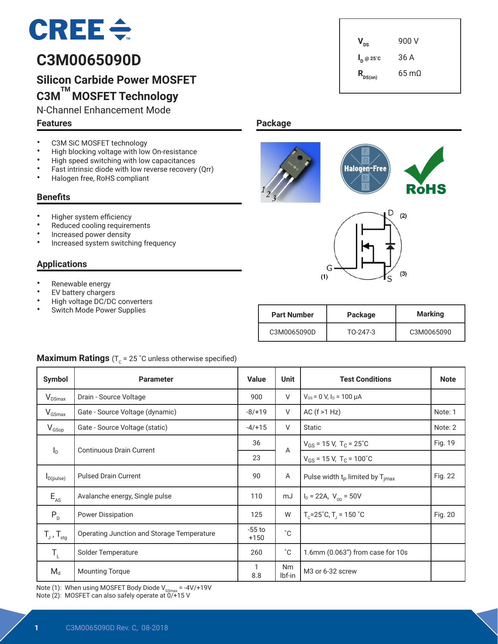# $CREE \div$

# **C3M0065090D**

# **Silicon Carbide Power MOSFET C3M TM MOSFET Technology**

N-Channel Enhancement Mode

## **Features**

 $V_{\text{ns}}$  900 V **I <sup>D</sup> @ 25˚C** 36 A  $R_{DS(on)}$  65 mΩ

# • C3M SiC MOSFET technology<br>• High blocking voltage with low

- High blocking voltage with low On-resistance<br>• High speed switching with low canacitances
- High speed switching with low capacitances<br>• Fast intrinsic diade with low reverse resevery
- Fast intrinsic diode with low reverse recovery (Qrr)<br>• Halogen free BoHS compliant
- Halogen free, RoHS compliant

# **Benefits**

- Higher system efficiency
- Reduced cooling requirements
- Increased power density
- Increased system switching frequency

# **Applications**

- Renewable energy
- EV battery chargers
- High voltage DC/DC converters
- Switch Mode Power Supplies







| <b>Part Number</b> | Package  | <b>Marking</b> |  |  |
|--------------------|----------|----------------|--|--|
| C3M0065090D        | TO-247-3 | C3M0065090     |  |  |

# **Maximum Ratings** ( $T_c$  = 25 °C unless otherwise specified)

| Symbol              | <b>Parameter</b>                           | <b>Value</b>       | <b>Unit</b>         | <b>Test Conditions</b>                              | <b>Note</b> |
|---------------------|--------------------------------------------|--------------------|---------------------|-----------------------------------------------------|-------------|
| $V_{DSmax}$         | Drain - Source Voltage                     | 900                | V                   | $V_{GS}$ = 0 V, $I_D$ = 100 µA                      |             |
| $V_{GSmax}$         | Gate - Source Voltage (dynamic)            | $-8/+19$           | V                   | AC $(f > 1 Hz)$                                     | Note: 1     |
| $V_{GSop}$          | Gate - Source Voltage (static)             | $-4/+15$           | V                   | <b>Static</b>                                       | Note: 2     |
|                     | <b>Continuous Drain Current</b>            | 36                 | A                   | $V_{GS}$ = 15 V, T <sub>C</sub> = 25 <sup>°</sup> C | Fig. 19     |
| $I_{\text{D}}$      |                                            | 23                 |                     | $V_{GS}$ = 15 V, T <sub>C</sub> = 100°C             |             |
| $I_{D(pulse)}$      | <b>Pulsed Drain Current</b>                | 90                 | Α                   | Pulse width $t_P$ limited by $T_{\text{imax}}$      | Fig. 22     |
| $E_{AS}$            | Avalanche energy, Single pulse             | 110                | mJ                  | $I_D = 22A$ , $V_{DD} = 50V$                        |             |
| $P_{D}$             | <b>Power Dissipation</b>                   |                    | W                   | $T_c$ =25°C, T <sub>J</sub> = 150 °C                | Fig. 20     |
| $T_{J}$ , $T_{stq}$ | Operating Junction and Storage Temperature | $-55$ to<br>$+150$ | $^{\circ}$ C        |                                                     |             |
| $T_{L}$             | Solder Temperature                         | 260                | $^{\circ}C$         | 1.6mm (0.063") from case for 10s                    |             |
| $M_d$               | <b>Mounting Torque</b>                     | 1<br>8.8           | <b>Nm</b><br>lbf-in | M <sub>3</sub> or 6-32 screw                        |             |

Note (1): When using MOSFET Body Diode  $V_{\text{GSmax}} = -4V/+19V$ Note (2): MOSFET can also safely operate at 0/+15 V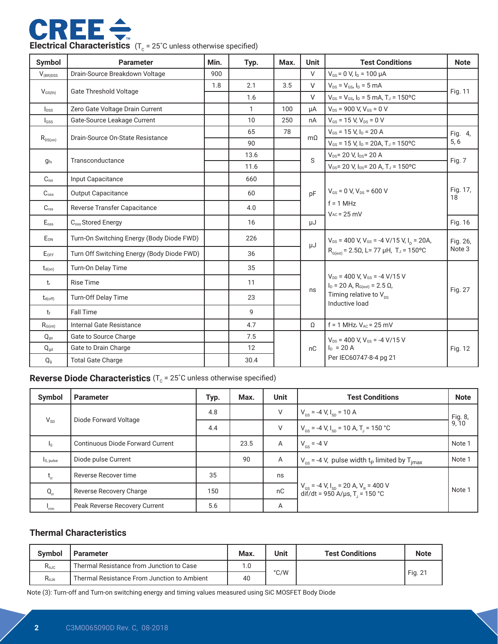

| Symbol                     | <b>Parameter</b>                           | Min. | Typ.         | Max. | <b>Unit</b> | <b>Test Conditions</b>                                                                | <b>Note</b>    |  |
|----------------------------|--------------------------------------------|------|--------------|------|-------------|---------------------------------------------------------------------------------------|----------------|--|
| $V_{\text{(BR)DSS}}$       | Drain-Source Breakdown Voltage             |      |              |      | $\vee$      | $V_{GS}$ = 0 V, $I_D$ = 100 $\mu$ A                                                   |                |  |
|                            |                                            | 1.8  | 2.1          | 3.5  | $\vee$      | $V_{DS} = V_{GS}$ , $I_D = 5$ mA                                                      |                |  |
| $V_{GS(th)}$               | <b>Gate Threshold Voltage</b>              |      | 1.6          |      | $\vee$      | $V_{DS} = V_{GS}$ , $I_D = 5$ mA, $T_J = 150$ °C                                      | Fig. 11        |  |
| $I_{DSS}$                  | Zero Gate Voltage Drain Current            |      | $\mathbf{1}$ | 100  | μA          | $V_{DS}$ = 900 V, $V_{GS}$ = 0 V                                                      |                |  |
| I <sub>GSS</sub>           | Gate-Source Leakage Current                |      | 10           | 250  | nA          | $V_{GS}$ = 15 V, $V_{DS}$ = 0 V                                                       |                |  |
|                            | Drain-Source On-State Resistance           |      | 65           | 78   | $m\Omega$   | $V_{GS}$ = 15 V, $I_D$ = 20 A                                                         | Fig. 4,        |  |
| $R_{\rm DS(on)}$           |                                            |      | 90           |      |             | $V_{GS}$ = 15 V, $I_D$ = 20A, T <sub>J</sub> = 150°C                                  | 5, 6           |  |
| $q_{fs}$                   | Transconductance                           |      | 13.6         |      | S           | $V_{DS}$ = 20 V, $I_{DS}$ = 20 A                                                      | Fig. 7         |  |
|                            |                                            |      | 11.6         |      |             | $V_{DS}$ = 20 V, $I_{DS}$ = 20 A, T <sub>J</sub> = 150 °C                             |                |  |
| $C_{iss}$                  | Input Capacitance                          |      | 660          |      |             |                                                                                       |                |  |
| $C_{\rm oss}$              | <b>Output Capacitance</b>                  |      | 60           |      | pF          | $V_{GS}$ = 0 V, $V_{DS}$ = 600 V                                                      | Fig. 17,<br>18 |  |
| $C_{\text{rss}}$           | Reverse Transfer Capacitance               |      | 4.0          |      |             | $f = 1$ MHz<br>$V_{AC}$ = 25 mV                                                       |                |  |
| E <sub>oss</sub>           | C <sub>oss</sub> Stored Energy             |      | 16           |      | μJ          |                                                                                       | Fig. 16        |  |
| $E_{ON}$                   | Turn-On Switching Energy (Body Diode FWD)  |      | 226          |      | μJ          | $V_{DS}$ = 400 V, V <sub>GS</sub> = -4 V/15 V, I <sub>D</sub> = 20A,                  |                |  |
| $E_{OFF}$                  | Turn Off Switching Energy (Body Diode FWD) |      | 36           |      |             | $R_{G(ext)} = 2.5Ω$ , L= 77 μH, T <sub>J</sub> = 150°C                                | Note 3         |  |
| $t_{d(on)}$                | Turn-On Delay Time                         |      | 35           |      |             |                                                                                       |                |  |
| t,                         | <b>Rise Time</b>                           |      | 11           |      |             | $V_{DD}$ = 400 V, $V_{GS}$ = -4 V/15 V<br>$I_D = 20$ A, $R_{G(ext)} = 2.5$ $\Omega$ , | Fig. 27        |  |
| $t_{d(off)}$               | Turn-Off Delay Time                        |      | 23           |      | ns          | Timing relative to $V_{ns}$<br>Inductive load                                         |                |  |
| $t_{\rm f}$                | <b>Fall Time</b>                           |      | 9            |      |             |                                                                                       |                |  |
| $R_{G(int)}$               | Internal Gate Resistance                   |      | 4.7          |      | Ω           | $f = 1$ MHz, $V_{AC} = 25$ mV                                                         |                |  |
| $Q_{qs}$                   | Gate to Source Charge                      |      | 7.5          |      |             | $V_{DS}$ = 400 V, $V_{GS}$ = -4 V/15 V                                                |                |  |
| $\mathsf{Q}_{\mathsf{gd}}$ | Gate to Drain Charge                       |      | 12           |      | nC          | $I_{D} = 20 A$                                                                        | Fig. 12        |  |
| Q <sub>g</sub>             | <b>Total Gate Charge</b>                   |      | 30.4         |      |             | Per IEC60747-8-4 pg 21                                                                |                |  |

# **Reverse Diode Characteristics** (T<sub>c</sub> = 25°C unless otherwise specified)

| Symbol    | <b>Parameter</b>                 | Typ. | Max. | <b>Unit</b>    | <b>Test Conditions</b>                                                                                        | <b>Note</b>      |
|-----------|----------------------------------|------|------|----------------|---------------------------------------------------------------------------------------------------------------|------------------|
| $V_{SD}$  | Diode Forward Voltage            | 4.8  |      | V              | $V_{\text{cs}}$ = -4 V, $I_{\text{sn}}$ = 10 A                                                                | Fig. 8,<br>9, 10 |
|           |                                  | 4.4  |      | V              | $V_{\text{cs}}$ = -4 V, I <sub>sp</sub> = 10 A, T <sub>1</sub> = 150 °C                                       |                  |
| Is.       | Continuous Diode Forward Current |      | 23.5 | $\overline{A}$ | $V_{\text{es}} = -4 V$                                                                                        | Note 1           |
| Is, pulse | Diode pulse Current              |      | 90   | A              | $V_{\text{cs}}$ = -4 V, pulse width t <sub>p</sub> limited by T <sub>imax</sub>                               | Note 1           |
| t,        | Reverse Recover time             | 35   |      | ns             |                                                                                                               |                  |
| $Q_{rr}$  | Reverse Recovery Charge          | 150  |      | nC             | $V_{gs}$ = -4 V, I <sub>sp</sub> = 20 A, V <sub>R</sub> = 400 V<br>dif/dt = 950 A/µs, T <sub>J</sub> = 150 °C | Note 1           |
| 'rrm      | Peak Reverse Recovery Current    | 5.6  |      | A              |                                                                                                               |                  |

## **Thermal Characteristics**

| <b>Symbol</b>  | <b>Parameter</b>                            | Max. | Unit          | <b>Test Conditions</b> | <b>Note</b> |
|----------------|---------------------------------------------|------|---------------|------------------------|-------------|
| $R_{0JC}$      | Thermal Resistance from Junction to Case    | 1.0  |               |                        |             |
| $R_{\theta$ JA | Thermal Resistance From Junction to Ambient | 40   | $\degree$ C/W |                        | Fig. 21     |

Note (3): Turn-off and Turn-on switching energy and timing values measured using SiC MOSFET Body Diode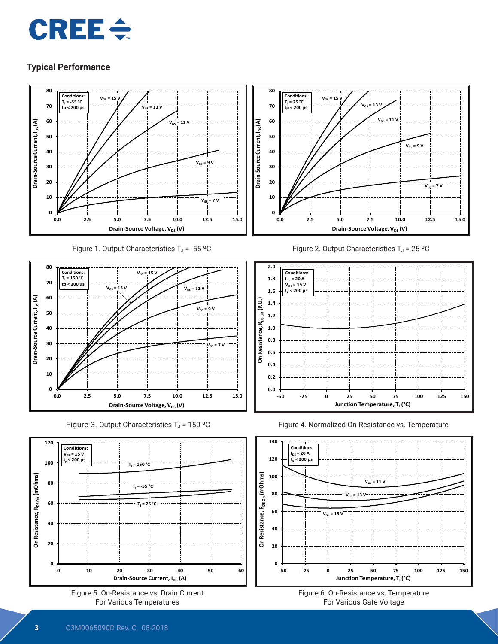



Figure 1. Output Characteristics  $T_J = -55$  °C



Figure 3. Output Characteristics  $T_J$  = 150 °C





Figure 2. Output Characteristics  $T_J = 25 °C$ 







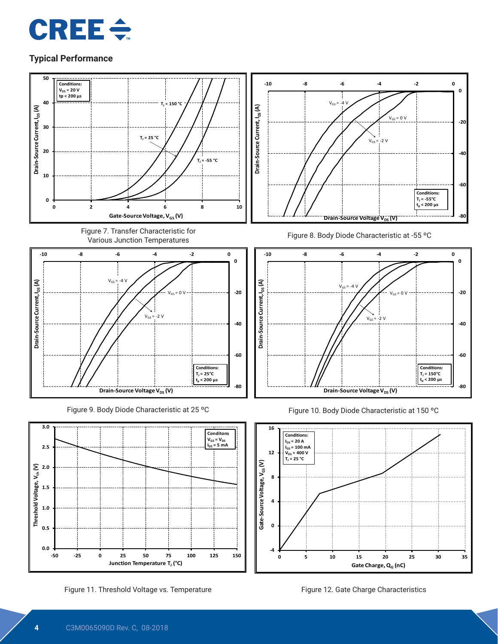



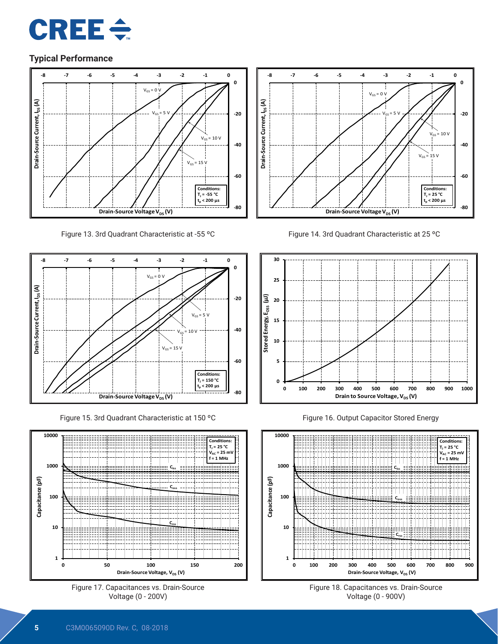



Figure 13. 3rd Quadrant Characteristic at -55 ºC



Figure 15. 3rd Quadrant Characteristic at 150 ºC











Figure 16. Output Capacitor Stored Energy



Figure 18. Capacitances vs. Drain-Source Voltage (0 - 900V)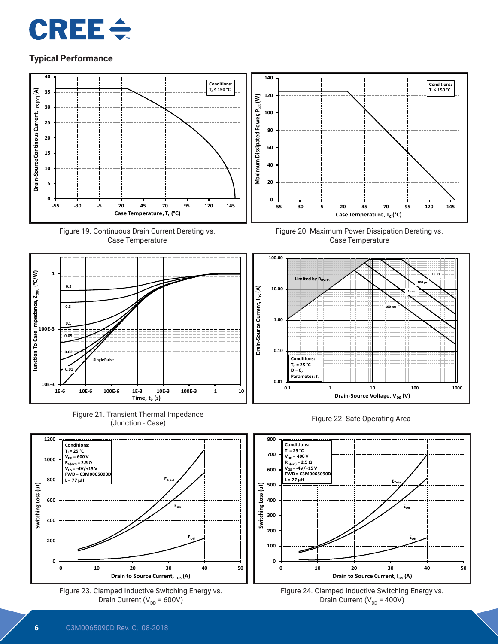















Figure 20. Maximum Power Dissipation Derating vs. Case Temperature







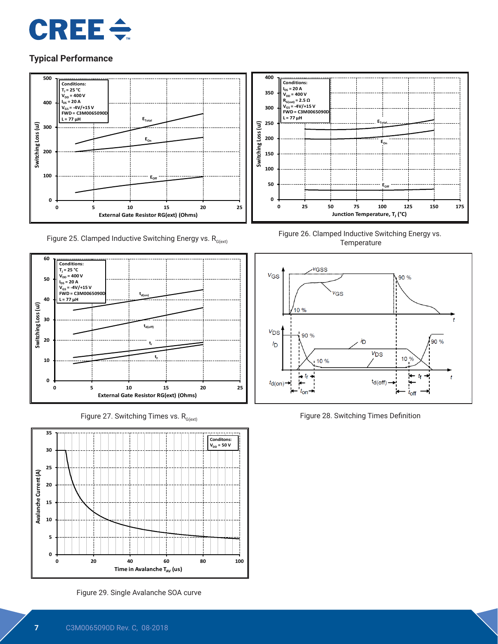



Figure 25. Clamped Inductive Switching Energy vs.  $R_{G(\text{ext})}$ 



Figure 27. Switching Times vs.  $R_{G(ext)}$ 



Figure 29. Single Avalanche SOA curve



Figure 26. Clamped Inductive Switching Energy vs. **Temperature** 



Figure 28. Switching Times Definition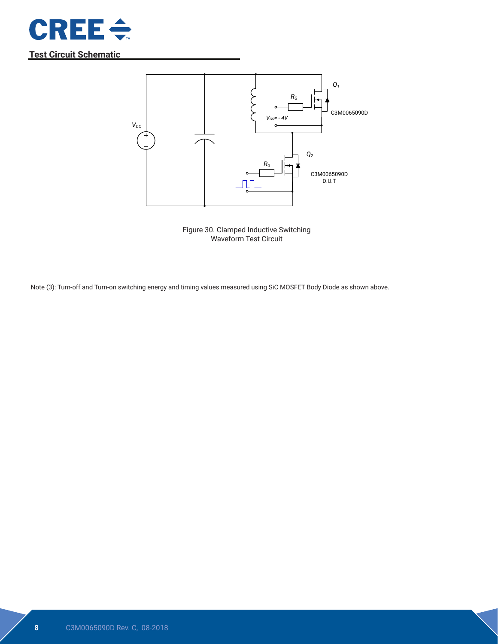

# **Test Circuit Schematic**



Figure 30. Clamped Inductive Switching Waveform Test Circuit

Note (3): Turn-off and Turn-on switching energy and timing values measured using SiC MOSFET Body Diode as shown above.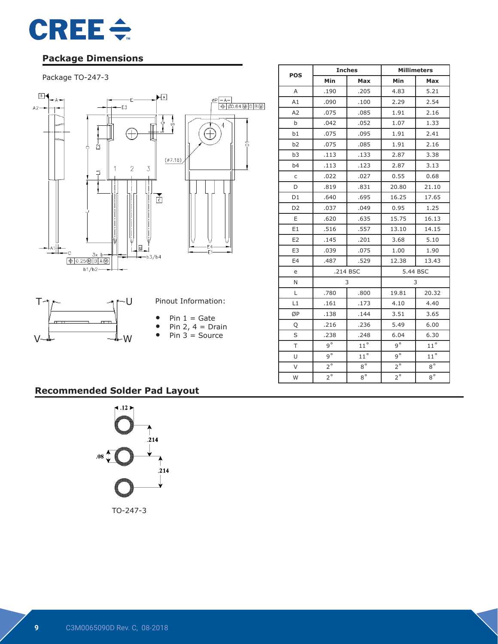

# **Package Dimensions**

#### Package TO-247-3



|                |             | <b>Inches</b> | <b>Millimeters</b> |              |  |
|----------------|-------------|---------------|--------------------|--------------|--|
| <b>POS</b>     | Min         | Max           | Min                | Max          |  |
| A              | .190        | .205          | 4.83               | 5.21         |  |
| A1             | .090        | .100          | 2.29               | 2.54         |  |
| A2             | .075        | .085          | 1.91               | 2.16         |  |
| b              | .042        | .052          | 1.07               | 1.33         |  |
| b1             | .075        | .095          | 1.91               | 2.41         |  |
| b2             | .075        | .085          | 1.91               | 2.16         |  |
| b <sub>3</sub> | .113        | .133          | 2.87               | 3.38         |  |
| b <sub>4</sub> | .113        | .123          | 2.87               | 3.13         |  |
| $\mathsf C$    | .022        | .027          | 0.55               | 0.68         |  |
| D              | .819        | .831          | 20.80              | 21.10        |  |
| D1             | .640        | .695          | 16.25              | 17.65        |  |
| D <sub>2</sub> | .037        | .049          | 0.95               | 1.25         |  |
| E              | .620        | .635          | 15.75              | 16.13        |  |
| E1             | .516        | .557          | 13.10              | 14.15        |  |
| E <sub>2</sub> | .145        | .201          | 3.68               | 5.10         |  |
| E <sub>3</sub> | .039        | .075          | 1.00               | 1.90         |  |
| E <sub>4</sub> | .487        | .529          | 12.38              | 13.43        |  |
| e              |             | .214 BSC      | 5.44 BSC           |              |  |
| N              |             | 3             | 3                  |              |  |
| Г              | .780        | .800          | 19.81              | 20.32        |  |
| L1             | .161        | .173          | 4.10               | 4.40         |  |
| ØP             | .138        | .144          | 3.51               | 3.65         |  |
| Q              | .216        | .236          | 5.49               | 6.00         |  |
| S              | .238        | .248          | 6.04               | 6.30         |  |
| T              | $9^{\circ}$ | $11^{\circ}$  | $q^{\circ}$        | $11^{\circ}$ |  |
| U              | $9^\circ$   | $11^{\circ}$  | $9^\circ$          | $11^{\circ}$ |  |
| $\vee$         | $2^{\circ}$ | $8^{\circ}$   | $2^{\circ}$        | $8^{\circ}$  |  |
| W              | $2^{\circ}$ | $8^{\circ}$   | $2^{\circ}$        | $8^{\circ}$  |  |

# **Recommended Solder Pad Layout**